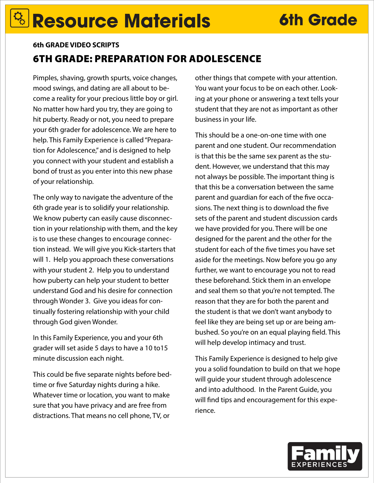## **Resource Materials 6th Grade**

## 6TH GRADE: PREPARATION FOR ADOLESCENCE **6th GRADE VIDEO SCRIPTS**

Pimples, shaving, growth spurts, voice changes, mood swings, and dating are all about to become a reality for your precious little boy or girl. No matter how hard you try, they are going to hit puberty. Ready or not, you need to prepare your 6th grader for adolescence. We are here to help. This Family Experience is called "Preparation for Adolescence," and is designed to help you connect with your student and establish a bond of trust as you enter into this new phase of your relationship.

The only way to navigate the adventure of the 6th grade year is to solidify your relationship. We know puberty can easily cause disconnection in your relationship with them, and the key is to use these changes to encourage connection instead. We will give you Kick-starters that will 1. Help you approach these conversations with your student 2. Help you to understand how puberty can help your student to better understand God and his desire for connection through Wonder 3. Give you ideas for continually fostering relationship with your child through God given Wonder.

In this Family Experience, you and your 6th grader will set aside 5 days to have a 10 to15 minute discussion each night.

This could be five separate nights before bedtime or five Saturday nights during a hike. Whatever time or location, you want to make sure that you have privacy and are free from distractions. That means no cell phone, TV, or

other things that compete with your attention. You want your focus to be on each other. Looking at your phone or answering a text tells your student that they are not as important as other business in your life.

This should be a one-on-one time with one parent and one student. Our recommendation is that this be the same sex parent as the student. However, we understand that this may not always be possible. The important thing is that this be a conversation between the same parent and guardian for each of the five occasions. The next thing is to download the five sets of the parent and student discussion cards we have provided for you. There will be one designed for the parent and the other for the student for each of the five times you have set aside for the meetings. Now before you go any further, we want to encourage you not to read these beforehand. Stick them in an envelope and seal them so that you're not tempted. The reason that they are for both the parent and the student is that we don't want anybody to feel like they are being set up or are being ambushed. So you're on an equal playing field. This will help develop intimacy and trust.

This Family Experience is designed to help give you a solid foundation to build on that we hope will guide your student through adolescence and into adulthood. In the Parent Guide, you will find tips and encouragement for this experience.